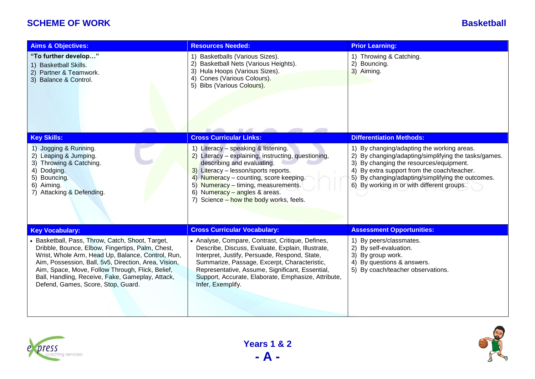## **SCHEME OF WORK Basketball**

| <b>Aims &amp; Objectives:</b>                                                                                                                                                                                                                                                                                                                                   | <b>Resources Needed:</b>                                                                                                                                                                                                                                                                                                              | <b>Prior Learning:</b>                                                                                                                                                                                                                                                                             |
|-----------------------------------------------------------------------------------------------------------------------------------------------------------------------------------------------------------------------------------------------------------------------------------------------------------------------------------------------------------------|---------------------------------------------------------------------------------------------------------------------------------------------------------------------------------------------------------------------------------------------------------------------------------------------------------------------------------------|----------------------------------------------------------------------------------------------------------------------------------------------------------------------------------------------------------------------------------------------------------------------------------------------------|
| "To further develop"<br>1) Basketball Skills.<br>2) Partner & Teamwork.<br>3) Balance & Control.                                                                                                                                                                                                                                                                | 1) Basketballs (Various Sizes).<br>2) Basketball Nets (Various Heights).<br>3) Hula Hoops (Various Sizes).<br>4) Cones (Various Colours).<br>5) Bibs (Various Colours).                                                                                                                                                               | 1) Throwing & Catching.<br>2) Bouncing.<br>3) Aiming.                                                                                                                                                                                                                                              |
| <b>Key Skills:</b>                                                                                                                                                                                                                                                                                                                                              | <b>Cross Curricular Links:</b>                                                                                                                                                                                                                                                                                                        | <b>Differentiation Methods:</b>                                                                                                                                                                                                                                                                    |
| 1) Jogging & Running.<br>2) Leaping & Jumping.<br>3) Throwing & Catching.<br>4) Dodging.<br>5) Bouncing.<br>6) Aiming.<br>7) Attacking & Defending.                                                                                                                                                                                                             | 1) Literacy - speaking & listening.<br>2) Literacy - explaining, instructing, questioning,<br>describing and evaluating.<br>3) Literacy - lesson/sports reports.<br>4) Numeracy - counting, score keeping.<br>5) Numeracy - timing, measurements.<br>6) Numeracy - angles & areas.<br>7) Science - how the body works, feels.         | 1) By changing/adapting the working areas.<br>By changing/adapting/simplifying the tasks/games.<br>3)<br>By changing the resources/equipment.<br>By extra support from the coach/teacher.<br>4)<br>5) By changing/adapting/simplifying the outcomes.<br>6) By working in or with different groups. |
| <b>Key Vocabulary:</b>                                                                                                                                                                                                                                                                                                                                          | <b>Cross Curricular Vocabulary:</b>                                                                                                                                                                                                                                                                                                   | <b>Assessment Opportunities:</b>                                                                                                                                                                                                                                                                   |
| • Basketball, Pass, Throw, Catch, Shoot, Target,<br>Dribble, Bounce, Elbow, Fingertips, Palm, Chest,<br>Wrist, Whole Arm, Head Up, Balance, Control, Run,<br>Aim, Possession, Ball, 5v5, Direction, Area, Vision,<br>Aim, Space, Move, Follow Through, Flick, Belief,<br>Ball, Handling, Receive, Fake, Gameplay, Attack,<br>Defend, Games, Score, Stop, Guard. | • Analyse, Compare, Contrast, Critique, Defines,<br>Describe, Discuss, Evaluate, Explain, Illustrate,<br>Interpret, Justify, Persuade, Respond, State,<br>Summarize, Passage, Excerpt, Characteristic,<br>Representative, Assume, Significant, Essential,<br>Support, Accurate, Elaborate, Emphasize, Attribute,<br>Infer, Exemplify. | 1) By peers/classmates.<br>2) By self-evaluation.<br>3)<br>By group work.<br>4) By questions & answers.<br>5) By coach/teacher observations.                                                                                                                                                       |